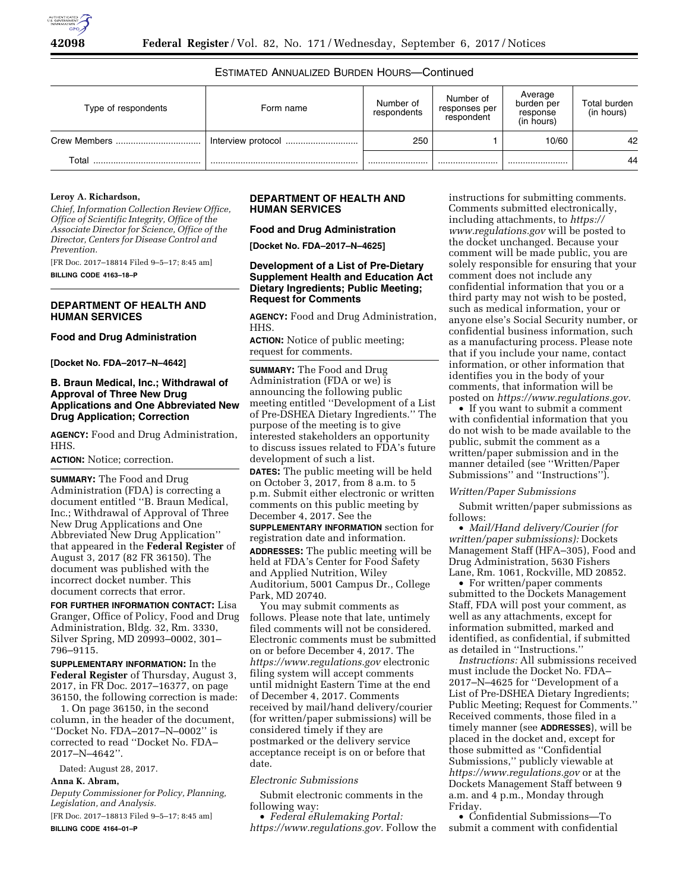# ESTIMATED ANNUALIZED BURDEN HOURS—Continued

| Type of respondents | Form name          | Number of<br>respondents | Number of<br>responses per<br>respondent | Average<br>burden per<br>response<br>(in hours) | Total burden<br>(in hours) |
|---------------------|--------------------|--------------------------|------------------------------------------|-------------------------------------------------|----------------------------|
|                     | Interview protocol | 250                      |                                          | 10/60                                           | 42                         |
| Total<br>           |                    |                          |                                          |                                                 | 44                         |

#### **Leroy A. Richardson,**

*Chief, Information Collection Review Office, Office of Scientific Integrity, Office of the Associate Director for Science, Office of the Director, Centers for Disease Control and Prevention.* 

[FR Doc. 2017–18814 Filed 9–5–17; 8:45 am] **BILLING CODE 4163–18–P** 

#### **DEPARTMENT OF HEALTH AND HUMAN SERVICES**

#### **Food and Drug Administration**

**[Docket No. FDA–2017–N–4642]** 

### **B. Braun Medical, Inc.; Withdrawal of Approval of Three New Drug Applications and One Abbreviated New Drug Application; Correction**

**AGENCY:** Food and Drug Administration, HHS.

**ACTION:** Notice; correction.

**SUMMARY:** The Food and Drug Administration (FDA) is correcting a document entitled ''B. Braun Medical, Inc.; Withdrawal of Approval of Three New Drug Applications and One Abbreviated New Drug Application'' that appeared in the **Federal Register** of August 3, 2017 (82 FR 36150). The document was published with the incorrect docket number. This document corrects that error.

**FOR FURTHER INFORMATION CONTACT:** Lisa Granger, Office of Policy, Food and Drug Administration, Bldg. 32, Rm. 3330, Silver Spring, MD 20993–0002, 301– 796–9115.

**SUPPLEMENTARY INFORMATION:** In the **Federal Register** of Thursday, August 3, 2017, in FR Doc. 2017–16377, on page 36150, the following correction is made:

1. On page 36150, in the second column, in the header of the document, ''Docket No. FDA–2017–N–0002'' is corrected to read ''Docket No. FDA– 2017–N–4642''.

Dated: August 28, 2017. **Anna K. Abram,** 

*Deputy Commissioner for Policy, Planning, Legislation, and Analysis.* 

[FR Doc. 2017–18813 Filed 9–5–17; 8:45 am] **BILLING CODE 4164–01–P** 

### **DEPARTMENT OF HEALTH AND HUMAN SERVICES**

#### **Food and Drug Administration**

**[Docket No. FDA–2017–N–4625]** 

### **Development of a List of Pre-Dietary Supplement Health and Education Act Dietary Ingredients; Public Meeting; Request for Comments**

**AGENCY:** Food and Drug Administration, HHS.

**ACTION:** Notice of public meeting; request for comments.

**SUMMARY:** The Food and Drug Administration (FDA or we) is announcing the following public meeting entitled ''Development of a List of Pre-DSHEA Dietary Ingredients.'' The purpose of the meeting is to give interested stakeholders an opportunity to discuss issues related to FDA's future development of such a list. **DATES:** The public meeting will be held

on October 3, 2017, from 8 a.m. to 5 p.m. Submit either electronic or written comments on this public meeting by December 4, 2017. See the **SUPPLEMENTARY INFORMATION** section for

registration date and information.

**ADDRESSES:** The public meeting will be held at FDA's Center for Food Safety and Applied Nutrition, Wiley Auditorium, 5001 Campus Dr., College Park, MD 20740.

You may submit comments as follows. Please note that late, untimely filed comments will not be considered. Electronic comments must be submitted on or before December 4, 2017. The *<https://www.regulations.gov>* electronic filing system will accept comments until midnight Eastern Time at the end of December 4, 2017. Comments received by mail/hand delivery/courier (for written/paper submissions) will be considered timely if they are postmarked or the delivery service acceptance receipt is on or before that date.

#### *Electronic Submissions*

Submit electronic comments in the following way:

• *Federal eRulemaking Portal: [https://www.regulations.gov.](https://www.regulations.gov)* Follow the

instructions for submitting comments. Comments submitted electronically, including attachments, to *[https://](https://www.regulations.gov) [www.regulations.gov](https://www.regulations.gov)* will be posted to the docket unchanged. Because your comment will be made public, you are solely responsible for ensuring that your comment does not include any confidential information that you or a third party may not wish to be posted, such as medical information, your or anyone else's Social Security number, or confidential business information, such as a manufacturing process. Please note that if you include your name, contact information, or other information that identifies you in the body of your comments, that information will be posted on *[https://www.regulations.gov.](https://www.regulations.gov)* 

• If you want to submit a comment with confidential information that you do not wish to be made available to the public, submit the comment as a written/paper submission and in the manner detailed (see ''Written/Paper Submissions'' and ''Instructions'').

#### *Written/Paper Submissions*

Submit written/paper submissions as follows:

• *Mail/Hand delivery/Courier (for written/paper submissions):* Dockets Management Staff (HFA–305), Food and Drug Administration, 5630 Fishers Lane, Rm. 1061, Rockville, MD 20852.

• For written/paper comments submitted to the Dockets Management Staff, FDA will post your comment, as well as any attachments, except for information submitted, marked and identified, as confidential, if submitted as detailed in ''Instructions.''

*Instructions:* All submissions received must include the Docket No. FDA– 2017–N–4625 for ''Development of a List of Pre-DSHEA Dietary Ingredients; Public Meeting; Request for Comments.'' Received comments, those filed in a timely manner (see **ADDRESSES**), will be placed in the docket and, except for those submitted as ''Confidential Submissions,'' publicly viewable at *<https://www.regulations.gov>* or at the Dockets Management Staff between 9 a.m. and 4 p.m., Monday through Friday.

• Confidential Submissions—To submit a comment with confidential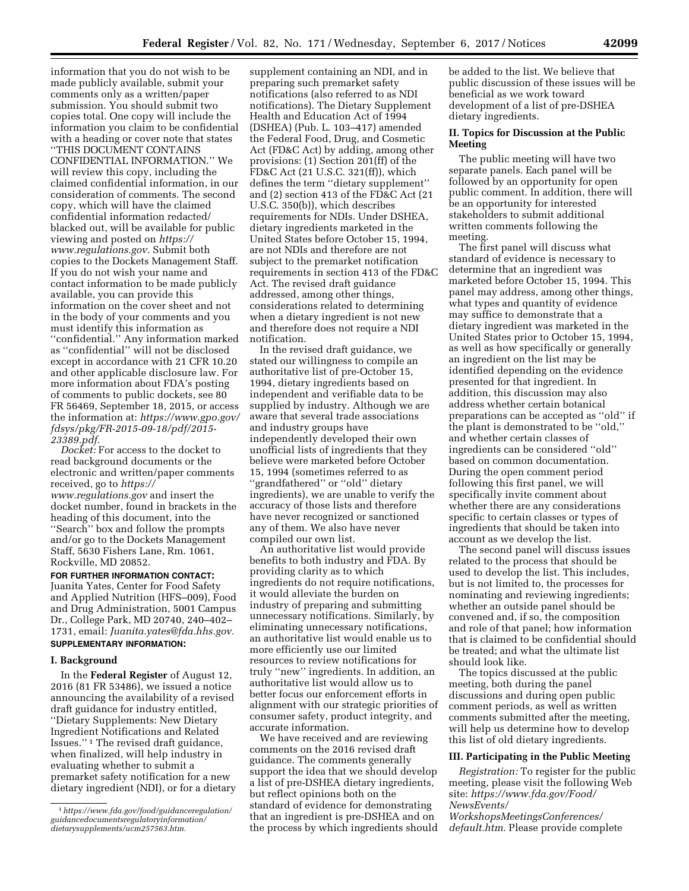information that you do not wish to be made publicly available, submit your comments only as a written/paper submission. You should submit two copies total. One copy will include the information you claim to be confidential with a heading or cover note that states ''THIS DOCUMENT CONTAINS CONFIDENTIAL INFORMATION.'' We will review this copy, including the claimed confidential information, in our consideration of comments. The second copy, which will have the claimed confidential information redacted/ blacked out, will be available for public viewing and posted on *[https://](https://www.regulations.gov) [www.regulations.gov.](https://www.regulations.gov)* Submit both copies to the Dockets Management Staff. If you do not wish your name and contact information to be made publicly available, you can provide this information on the cover sheet and not in the body of your comments and you must identify this information as ''confidential.'' Any information marked as ''confidential'' will not be disclosed except in accordance with 21 CFR 10.20 and other applicable disclosure law. For more information about FDA's posting of comments to public dockets, see 80 FR 56469, September 18, 2015, or access the information at: *[https://www.gpo.gov/](https://www.gpo.gov/fdsys/pkg/FR-2015-09-18/pdf/2015-23389.pdf) [fdsys/pkg/FR-2015-09-18/pdf/2015-](https://www.gpo.gov/fdsys/pkg/FR-2015-09-18/pdf/2015-23389.pdf)  [23389.pdf.](https://www.gpo.gov/fdsys/pkg/FR-2015-09-18/pdf/2015-23389.pdf)* 

*Docket:* For access to the docket to read background documents or the electronic and written/paper comments received, go to *[https://](https://www.regulations.gov) [www.regulations.gov](https://www.regulations.gov)* and insert the docket number, found in brackets in the heading of this document, into the ''Search'' box and follow the prompts and/or go to the Dockets Management Staff, 5630 Fishers Lane, Rm. 1061, Rockville, MD 20852.

**FOR FURTHER INFORMATION CONTACT:**  Juanita Yates, Center for Food Safety and Applied Nutrition (HFS–009), Food and Drug Administration, 5001 Campus Dr., College Park, MD 20740, 240–402– 1731, email: *[Juanita.yates@fda.hhs.gov.](mailto:Juanita.yates@fda.hhs.gov)*  **SUPPLEMENTARY INFORMATION:** 

### **I. Background**

In the **Federal Register** of August 12, 2016 (81 FR 53486), we issued a notice announcing the availability of a revised draft guidance for industry entitled, ''Dietary Supplements: New Dietary Ingredient Notifications and Related Issues.'' 1 The revised draft guidance, when finalized, will help industry in evaluating whether to submit a premarket safety notification for a new dietary ingredient (NDI), or for a dietary

supplement containing an NDI, and in preparing such premarket safety notifications (also referred to as NDI notifications). The Dietary Supplement Health and Education Act of 1994 (DSHEA) (Pub. L. 103–417) amended the Federal Food, Drug, and Cosmetic Act (FD&C Act) by adding, among other provisions: (1) Section 201(ff) of the FD&C Act (21 U.S.C. 321(ff)), which defines the term ''dietary supplement'' and (2) section 413 of the FD&C Act (21 U.S.C. 350(b)), which describes requirements for NDIs. Under DSHEA, dietary ingredients marketed in the United States before October 15, 1994, are not NDIs and therefore are not subject to the premarket notification requirements in section 413 of the FD&C Act. The revised draft guidance addressed, among other things, considerations related to determining when a dietary ingredient is not new and therefore does not require a NDI notification.

In the revised draft guidance, we stated our willingness to compile an authoritative list of pre-October 15, 1994, dietary ingredients based on independent and verifiable data to be supplied by industry. Although we are aware that several trade associations and industry groups have independently developed their own unofficial lists of ingredients that they believe were marketed before October 15, 1994 (sometimes referred to as ''grandfathered'' or ''old'' dietary ingredients), we are unable to verify the accuracy of those lists and therefore have never recognized or sanctioned any of them. We also have never compiled our own list.

An authoritative list would provide benefits to both industry and FDA. By providing clarity as to which ingredients do not require notifications, it would alleviate the burden on industry of preparing and submitting unnecessary notifications. Similarly, by eliminating unnecessary notifications, an authoritative list would enable us to more efficiently use our limited resources to review notifications for truly ''new'' ingredients. In addition, an authoritative list would allow us to better focus our enforcement efforts in alignment with our strategic priorities of consumer safety, product integrity, and accurate information.

We have received and are reviewing comments on the 2016 revised draft guidance. The comments generally support the idea that we should develop a list of pre-DSHEA dietary ingredients, but reflect opinions both on the standard of evidence for demonstrating that an ingredient is pre-DSHEA and on the process by which ingredients should be added to the list. We believe that public discussion of these issues will be beneficial as we work toward development of a list of pre-DSHEA dietary ingredients.

#### **II. Topics for Discussion at the Public Meeting**

The public meeting will have two separate panels. Each panel will be followed by an opportunity for open public comment. In addition, there will be an opportunity for interested stakeholders to submit additional written comments following the meeting.

The first panel will discuss what standard of evidence is necessary to determine that an ingredient was marketed before October 15, 1994. This panel may address, among other things, what types and quantity of evidence may suffice to demonstrate that a dietary ingredient was marketed in the United States prior to October 15, 1994, as well as how specifically or generally an ingredient on the list may be identified depending on the evidence presented for that ingredient. In addition, this discussion may also address whether certain botanical preparations can be accepted as ''old'' if the plant is demonstrated to be ''old,'' and whether certain classes of ingredients can be considered ''old'' based on common documentation. During the open comment period following this first panel, we will specifically invite comment about whether there are any considerations specific to certain classes or types of ingredients that should be taken into account as we develop the list.

The second panel will discuss issues related to the process that should be used to develop the list. This includes, but is not limited to, the processes for nominating and reviewing ingredients; whether an outside panel should be convened and, if so, the composition and role of that panel; how information that is claimed to be confidential should be treated; and what the ultimate list should look like.

The topics discussed at the public meeting, both during the panel discussions and during open public comment periods, as well as written comments submitted after the meeting, will help us determine how to develop this list of old dietary ingredients.

#### **III. Participating in the Public Meeting**

*Registration:* To register for the public meeting, please visit the following Web site: *[https://www.fda.gov/Food/](https://www.fda.gov/Food/NewsEvents/WorkshopsMeetingsConferences/default.htm)  [NewsEvents/](https://www.fda.gov/Food/NewsEvents/WorkshopsMeetingsConferences/default.htm)* 

*[WorkshopsMeetingsConferences/](https://www.fda.gov/Food/NewsEvents/WorkshopsMeetingsConferences/default.htm)  [default.htm.](https://www.fda.gov/Food/NewsEvents/WorkshopsMeetingsConferences/default.htm)* Please provide complete

<sup>1</sup>*[https://www.fda.gov/food/guidanceregulation/](https://www.fda.gov/food/guidanceregulation/guidancedocumentsregulatoryinformation/dietarysupplements/ucm257563.htm) [guidancedocumentsregulatoryinformation/](https://www.fda.gov/food/guidanceregulation/guidancedocumentsregulatoryinformation/dietarysupplements/ucm257563.htm) [dietarysupplements/ucm257563.htm.](https://www.fda.gov/food/guidanceregulation/guidancedocumentsregulatoryinformation/dietarysupplements/ucm257563.htm)*